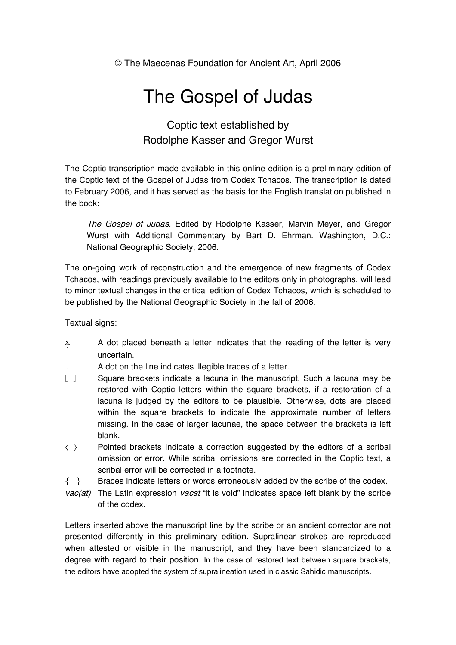## The Gospel of Judas

## Coptic text established by Rodolphe Kasser and Gregor Wurst

The Coptic transcription made available in this online edition is a preliminary edition of the Coptic text of the Gospel of Judas from Codex Tchacos. The transcription is dated to February 2006, and it has served as the basis for the English translation published in the book:

The Gospel of Judas. Edited by Rodolphe Kasser, Marvin Meyer, and Gregor Wurst with Additional Commentary by Bart D. Ehrman. Washington, D.C.: National Geographic Society, 2006.

The on-going work of reconstruction and the emergence of new fragments of Codex Tchacos, with readings previously available to the editors only in photographs, will lead to minor textual changes in the critical edition of Codex Tchacos, which is scheduled to be published by the National Geographic Society in the fall of 2006.

Textual signs:

- **a** A dot placed beneath a letter indicates that the reading of the letter is very uncertain.
- A dot on the line indicates illegible traces of a letter.
- { } Square brackets indicate a lacuna in the manuscript. Such a lacuna may be restored with Coptic letters within the square brackets, if a restoration of a lacuna is judged by the editors to be plausible. Otherwise, dots are placed within the square brackets to indicate the approximate number of letters missing. In the case of larger lacunae, the space between the brackets is left blank.
- $\langle \rangle$  Pointed brackets indicate a correction suggested by the editors of a scribal omission or error. While scribal omissions are corrected in the Coptic text, a scribal error will be corrected in a footnote.
- { } Braces indicate letters or words erroneously added by the scribe of the codex.
- vac(at) The Latin expression vacat "it is void" indicates space left blank by the scribe of the codex.

Letters inserted above the manuscript line by the scribe or an ancient corrector are not presented differently in this preliminary edition. Supralinear strokes are reproduced when attested or visible in the manuscript, and they have been standardized to a degree with regard to their position. In the case of restored text between square brackets, the editors have adopted the system of supralineation used in classic Sahidic manuscripts.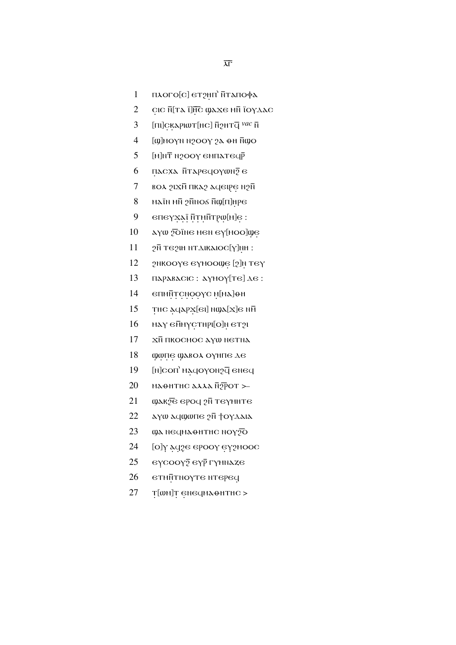- 27 T[WM]T ENECHAOHTHC >
- 26 **етиптно**үте нтерец
- 25 **εγcooγ**ζ εγρ εγμηλαε
- 24 [ο]γ λάδε εροογ εγρησος
- ψα ΝΕΟΜΑΘΗΤΗΣ ΝΟΥ2Ο
- 23
- 22 λγω λαμωπε 2Ν τογλλιλ
- 21 ФАК? Е ВРОЧ 2И ТЕҮМНТЕ
- 20 ма онтно алла нарот ≻
- 19 [N]COΠ' ΜΆ (ΙΟΥΟΝ2 ΠΘΟ[Η]
- 18 ФФПЕ ФАВОЛ ОУНПЕ ДЕ
- 17 ХЙ ПКОСМОС АУФ НЕТНА
- 16 мау еймүстнрі[о]н етаі
- 15 тис адарх[еі] нфа[х]е ни
- 14 епийтсмооус м[ма] он
- 13 паравасіс: аүноү[те] де:
- 12 2ΝΚΟΟΥΕ ΕΥΜΟΟΦΕ [2]Ν ΤΕΥ
- 11 2N ТЕ2IН NTAIKAIOC[Y]NH:
- 10 λγω ποϊηθ μεν εγ[μοο]φε
- 9 епеүхаї йтийтро[и]е:
- 8 МАЇН МІ 2 ПНО Б ПОДПІНРЄ
- $\overline{7}$ **BOA 21XH ΠΚΑ2 ΑΨΕΙΡΕ Ν2Η**
- 6 пасха йтарецоүшн $\overline{2}$  е
- $5\overline{)}$ [М] МТ Н2ООУ ЄМПАТЄЦР
- $\overline{4}$ [ϣ]моүн нгооү га өн йфо
- $\overline{3}$ [ПІ]СКАРІФТ[НС]  $\overline{N}$ 2НТ $\overline{Q}$   $\overline{V}$ ас  $\overline{N}$
- $\overline{2}$ СІС П[ТА Ї] ПС ФАХЄ И П Ї ОҮДАС
- $\mathbf{1}$ ПАОГО[С] ЄТ2НП ПТАПОФА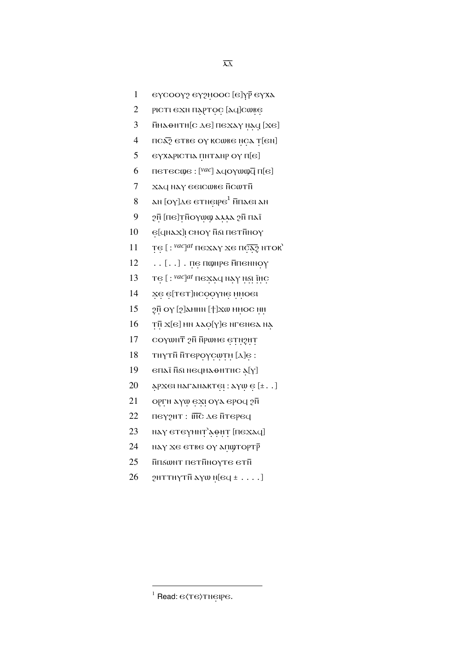Милфити[С де] пехау на ([хе]

ΠΟΔ? ΕΤΒΕ ΟΥ ΚΟΨΒΕ ΝΟΛ Τ[ΕΝ]

ΠΕΤΕΣΦΕ: [<sup>Vac</sup>] λ (Ο ΥΦΟ Π[Ε]

ан [оү]де етнеіре<sup>1</sup> йпаеі ан

2Ν [ΠΘ]ΤΝΟΥΦΟ λλλλ 2Ν ΠΑΪ

**e**[qNAX] CMOY NốI ΠΕΤΝΝΟΥ

 $\ldots$  [ $\ldots$ ]  $\ldots$  пе пфире ипеннот TE [: vac]at nexxq NAY Nối THC

хе е[тет]исоотие имоет

COYWNT 2N NPWME ETN2HT

2Ν ΟΥ [2] ΣΟΝ ΗΝ [+] Χω ΜΜΟΣ ΝΗ

ТП Х[Є] МН ЛАО[Ү]Є НГЄНЄЛ НА

ΤΕ [: <sup>vac]at</sup> ΠΕΧΑΥ ΧΕ ΠΟΑ? ΝΤΟΚ'

**ΕΥΧΑΡΙΟΤΙΑ ΠΝΤΑΝΡ ΟΥ Π[Ε]** 

**ΧλΟ ΝΑΥ ΘΘΙΟΦΙΘ ΝΟΦΤΝ** 

- $\mathbf{1}$ 
	- $\overline{2}$ PICTI EXN ΠΑΡΤΟΣ [AC]CORE

 $\overline{3}$ 

 $\overline{4}$ 

5

6

 $\overline{7}$ 

8

9

10

11

12

13 14

15

16

17

18

19

- 
- 
- εγςοογε εγενιοος [ε]γρ εγχλ
- 

- тнүти итероүсфти [д]е: епаї на несиаентно а[у]
- 20 APXEI NAΓANAKTEI: AYWE[±..]
- 21 ορη λγώ εχι ογλ ερος 2Ν
- 22 пеүрнт: Го де йтерец
- 23 нау етеуннт'аөнт [пехац]
- 24 МАҮ ХЄ ЄТВЄ ОУ АПФТОРТР
- 25 ППКФИТ ПЕТПНОУТЕ ЕТП
- 26  $2$ ΗΤΤΗΥΤΝ λΥΦΝ[ $\in$  $4$   $\ldots$ ]

 $^{1}$  Read:  $\varepsilon$  $\langle$ T $\varepsilon$  $\rangle$ T $\sup$ eip $\varepsilon$ .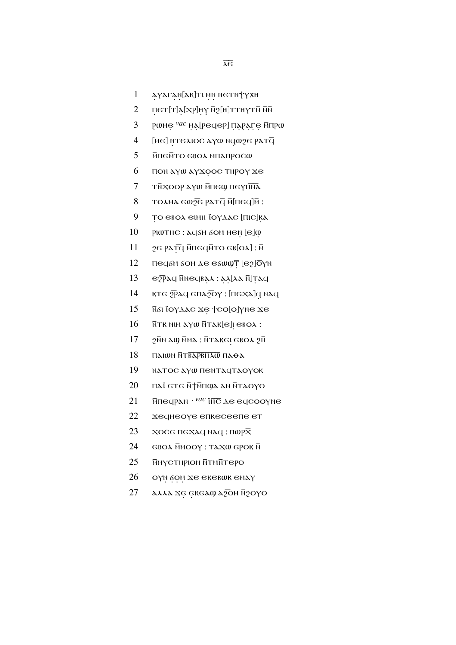- $\mathbf{1}$ аүаган[ак]ті ни нетнтүхн
- $\overline{2}$ ПЄТ[Т]х[ХР]НҮ П2[Н]ТТНҮТП ПП
- $\overline{3}$ раме <sup>vac</sup> ма[рестер] параге йпра
- $\overline{4}$ [ΜΕ] ΝΤΕλΙΟΟ ΑΥΦ ΝΟΦ2Ε ΡΑΤΔ
- $5\overline{)}$ ППЕЙТО ЕВОД МПАПРОСФ
- 6 ποι λγω λγχοος τηρογ χε
- $\overline{7}$ ΤΝΧΟΟΡ ΑΥΦ ΝΠΕΦ ΠΕΥΠΝΑ
- 8 толма ефи рата м[пец]м:
- 9 то євол єімн їоудас [піс]ка
- 10 рютно: адби бом мем [е]ю
- 11 26 РАТА ППЕАНТО ЕВ[ОД]: П
- 12 πειζον κον νε εχωώ τεδρόλν
- 13 Е?Рац ПНЕЦВАХ : АЛ[ЛА П]ТАЦ
- 14 кте  $\overline{p}$ ац епа $\overline{p}$ оү : [пеха]ц нац
- 15 на гоудас хе тоо[о]уне хе
- 16 ПТК НІМ АҮФ ПТАК[Є] ЕВОЛ:
- 17 2NN AU MMA: NTAKEI EBOA 2N
- 18 ΠΔΙΦΝ ΝΤΒΑΡΒΗλ<mark>Φ</mark> ΠΑΘΑ
- 19 ΝΑΤΟΣ ΑΥΦ ΠΕΝΤΑ ΠΑΟΥΟΚ
- 20 ПАЇ ЄТЄ П+ППФА АН ПТАОУО
- 21 МПЕСОРАН · Vac ТНС ДЕ ЕССООУНЕ
- 22 хециеоуе епкесеепе ет
- 23 ΧΟΟΘ ΠΕΧΑΟ ΝΑΟ: ΠωρΣ
- 24 ЄВОА ПМООУ: ТАХФ ЄРОК П
- 25 **ММАСТНРЮМ ИТИЙТЕРО**
- 26 ОҮН бОН ХЄ ЄКЄВШК ЄМАҮ
- 27 λλλλ χε εκελιψ λ δον μερογο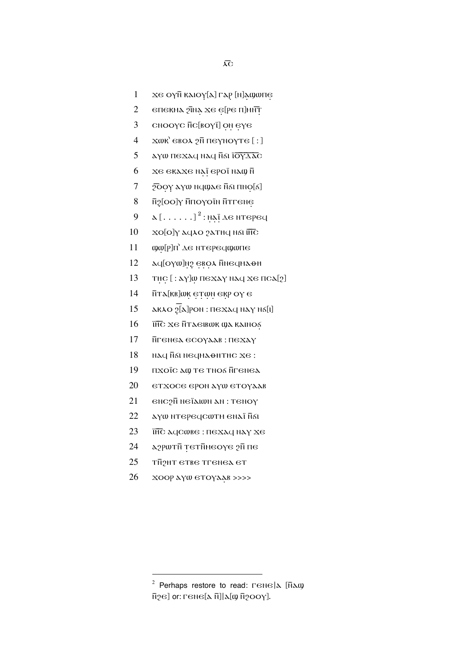- $\mathbf{1}$ ΧΕ ΟΥΝ ΚΑΙΟΥ[Α] ΓΑΡ [Ν]ΑΨΟΠΕ
- $\overline{2}$ епекма эиа хе е[ре п]мнт
- $\overline{3}$ снооус Nc[Boyi] он еуе
- $\overline{4}$ Χωκ' ΕΒΟλ 2Ν ΠΕΥΝΟΥΤΕ [:]
- 5 λγω πεχλα Νλα Νδι ϊσγλλο
- 6 ХЄ ЄКАХЄ НАЇ ЄРОЇ НАФ П
- $\overline{7}$ 200γ λγω ΝΟΦλΕ Νδι ΠΝΟ[6]
- й2[00]ү йпоүоїн йтгене 8
- $\lambda$ [......]<sup>2</sup>: NAÏ  $\lambda$ E NTEPEC 9
- 10 хо[о]ү адао затна ны те
- 11 **ωω**[p] π' *Δ* ε N T E p E q ω D T E
- ας [Ογω]ης εκολ πηες μαθη 12
- 13 ΤΗΣ [: λγ] Φ ΠΕΧΑΥ ΝΑΟ ΧΕ ΠΟλ[2]
- 14 NTA[KB] WK ETWN EKP OY E
- 15  $\lambda$ KAO 2[ $\lambda$ ]pon :  $\pi$ EX $\lambda$ q n $\lambda$ y n $\delta$ [I]
- 16 **ÏHC XE NTAGIROK OJA KAINO6**
- 17 ПГЕНЕА ЕСОҮААВ: ПЕХАҮ
- 18 над на недна онтно хе:
- 19 ΠΧΟΪΟ ΑΦ ΤΕ ΤΝΟ ΑΠΓΕΝΕΑ
- 20 *ΕΤΧΟΣΕ ΕΡΟΝ ΑΥΦ ΕΤΟΥΑΑΒ*
- 21 емери меїдію ди: темоу
- 22 дүш нтерецсшти енді на
- 23 ΪΗΣ λΟΚΟΦΒΕ: ΠΕΧλΟ ΝΑΥ ΧΕ
- 24 азроти тетинеоуе зи пе
- 25 TN2HT GTBE TLENEY EL
- 26 ΧΟΟΡ ΑΥΦ ΕΤΟΥΑΑΒ >>>>

<sup>&</sup>lt;sup>2</sup> Perhaps restore to read:  $T \in \mathbb{R}$   $\sqrt{\mathbb{R}}$   $\Delta \psi$  $\bar{N}$ 2 $\epsilon$ ] or:  $\Gamma$  $\epsilon$ N $\epsilon$  $[\lambda \bar{N}]$  $[\lambda$  $[\psi \bar{N}$ 200 $\gamma]$ .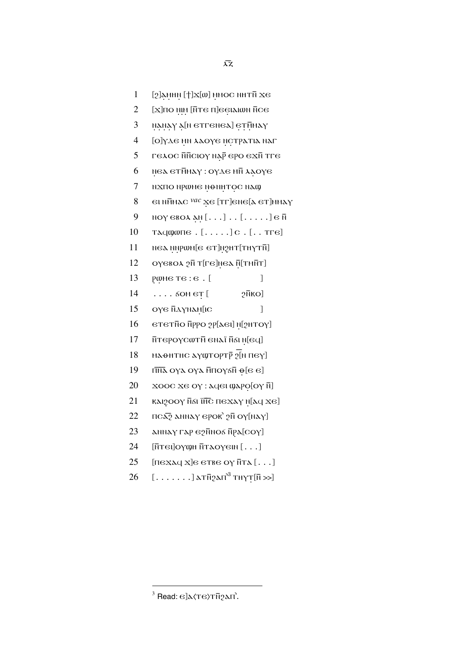| $\mathbf{1}$             | [2]амнн [†] $x[\omega]$ ммос ннт $\bar{n}$ $x \in$                                                                                                                                                                                                                                                                                     |  |
|--------------------------|----------------------------------------------------------------------------------------------------------------------------------------------------------------------------------------------------------------------------------------------------------------------------------------------------------------------------------------|--|
| 2                        | $[x]$ ΠΟ ΝΙΜ $[\overline{N}$ Τ $\in$ Π $]$ ΘΘΙλΙΦΝ $\overline{N}$ CΘ                                                                                                                                                                                                                                                                   |  |
| 3                        | нанау а[н етгенеа] етйнау                                                                                                                                                                                                                                                                                                              |  |
| $\overline{\mathcal{L}}$ | [О]үде ин даоүе нстратіа наг                                                                                                                                                                                                                                                                                                           |  |
| 5                        | ГЄЛОС ЇЙ ПО РАЙ ВРО ЄХІЇ ТГЄ                                                                                                                                                                                                                                                                                                           |  |
| 6                        | неа етймаү : оүде ий лаоүе                                                                                                                                                                                                                                                                                                             |  |
| 7                        | <b>НХПО НРФИЕ НОННТОС НАФ</b>                                                                                                                                                                                                                                                                                                          |  |
| 8                        | еі нимас <sup>vac</sup> хе [тг]ене[а ет]имаү                                                                                                                                                                                                                                                                                           |  |
| 9                        | NOY EROL $\lambda$ N $[]$ $[]$ $\overline{B}$                                                                                                                                                                                                                                                                                          |  |
| 10                       | TACHAONTE $. []c . [$ Tre]                                                                                                                                                                                                                                                                                                             |  |
| 11                       | нел инром[е ет]нонт[тнүтн]                                                                                                                                                                                                                                                                                                             |  |
| 12                       | ОҮЄВОХ 2Н Т[ГЄ]НЄХ Н[ТИНТ]                                                                                                                                                                                                                                                                                                             |  |
| 13                       | 1<br>ршмете:е.[                                                                                                                                                                                                                                                                                                                        |  |
| 14                       | $2$ NKO]<br>$\ldots$ 60M $\epsilon$ T [                                                                                                                                                                                                                                                                                                |  |
| 15                       | 1<br>ОҮЕ ПАҮНАМ[ІС                                                                                                                                                                                                                                                                                                                     |  |
| 16                       | <b>ΕΤΕΤΝΟ ΝΡΡΟ 2P[λΕΙ] N[2HTOY]</b>                                                                                                                                                                                                                                                                                                    |  |
| 17                       | NTEPOYCOTH ENAÏ N61 N[Eq]                                                                                                                                                                                                                                                                                                              |  |
| 18                       | МАӨНТНС АҮШТӨРТР 2 [N ПЕҮ]                                                                                                                                                                                                                                                                                                             |  |
| 19                       | $\overline{\text{tIA}}$ oγa oγa $\overline{\text{tIA}}$ ογό $\overline{\text{t}}$ θ $[\text{e}$ e]                                                                                                                                                                                                                                     |  |
| 20                       | ΧΟΟΟ ΧΕΟΥ: λαθι ψλρο[ΟΥ Π]                                                                                                                                                                                                                                                                                                             |  |
| 21                       | қаізооу ñы ї <del>нс</del> пехау n[аq хе]                                                                                                                                                                                                                                                                                              |  |
| 22                       | πολξ αnnay єрок' 2Ñ oy[nay]                                                                                                                                                                                                                                                                                                            |  |
| 23                       | аннау гар өзйноб йра[соү]                                                                                                                                                                                                                                                                                                              |  |
| 24                       | $[\bar{N}$ Tel]OYQH $\bar{N}$ TAOYEIN $[]$                                                                                                                                                                                                                                                                                             |  |
| 25                       | $[{}$ $\pi$ $\infty$ $\infty$ $\infty$ $\infty$ $\infty$ $\infty$ $\infty$ $\infty$ $\infty$ $\infty$ $\infty$ $\infty$ $\infty$ $\infty$ $\infty$ $\infty$ $\infty$ $\infty$ $\infty$ $\infty$ $\infty$ $\infty$ $\infty$ $\infty$ $\infty$ $\infty$ $\infty$ $\infty$ $\infty$ $\infty$ $\infty$ $\infty$ $\infty$ $\infty$ $\infty$ |  |
| 26                       |                                                                                                                                                                                                                                                                                                                                        |  |

 $3$  Read:  $\epsilon$ ]λ $\langle$ T $\epsilon$  $\rangle$ T $\bar{\text{N}}$ 2λΠ $\hat{\text{N}}$ .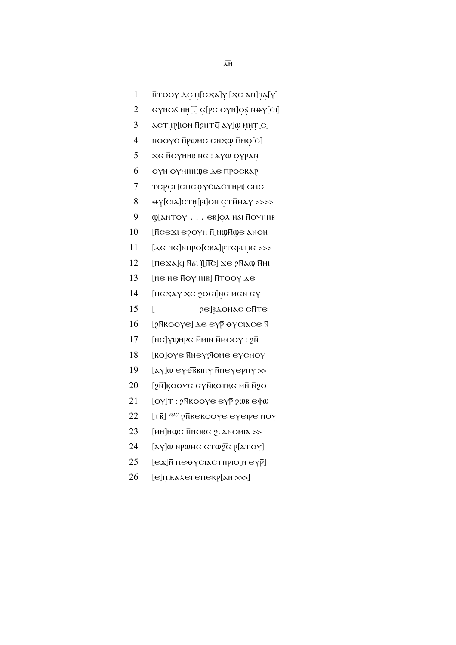| ñτοογ де п[еха]ү [хе ан]на[ү] |  |  |
|-------------------------------|--|--|
|                               |  |  |

- $\overline{2}$ **εγNO6 NH[ï]** ε[pe oγN] Ο ΝΘΥ[CI]
- $\overline{3}$ **ACTHP**[ION N2HTQ AY] WHIT[C]
- $\overline{4}$ NOOYC NPWME ENXW MMO[C]
- $5\overline{)}$ хе ноүннв не : аүш оүран
- $\sqrt{6}$ ОҮН ОҮНННФЕ ДЕ ПРОСКАР
- $\overline{7}$ терен (епефусилотнри) епе
- 8 θγ[Clλ]CTH[Pl]ON ΕΤΠΜΑΥ >>>>
- 9 ФІАНТОҮ . . . ЕВ ОД НА ПОҮННВ
- 10 [NCEXI E2OYN N]NWMWE ANON
- 11 [ДЕ НЕ]НПРО[СКА]РТЕРІ ПЕ >>>
- 12 [NEXA]C Nếi lHC] Xe 2NAQ NHI
- 13 [НЕ НЕ ПОҮННВ] ПТООУ ДЕ
- 14 [пехаү хе зоецие иеи еү
- 15  $\Gamma$ 26 ВДОМАС СПТЕ
- 16 [2NKOOYE] ΔΕ ΕΥΡ θΥCΙΔCΕ Ν
- 17 [NE] YUHPE MMIN MMOOY: 2N
- 18 [κο]ογε ιλεγειτικε εγς κογ
- 19  $[\lambda \gamma]$ W EY TRIHY NNEYEPHY >>
- 20 [2N] КООУЄ Є Ү ЛІ КОТКЄ И ЛІ ПРО
- 21 [ΟΥ]Τ: 2ΝΚΟΟΥΘ ΘΥΡ 2ωΒ ΘΦω
- 22 [TB] <sup>vac</sup> 2NKEKOOYE EYEIPE NOY
- 23 [MH]HUJE NNOBE 21 ANOMIA >>
- 24 [λγ]ω ΝΡωΜΕ ΕΤω ΣΕ Ρ[λΤΟΥ]
- 25 [ex]N пеоусь стирю [N eyp]
- 26 [Є] ПІКАЛЕІ ЄПЕКР[АН >>>]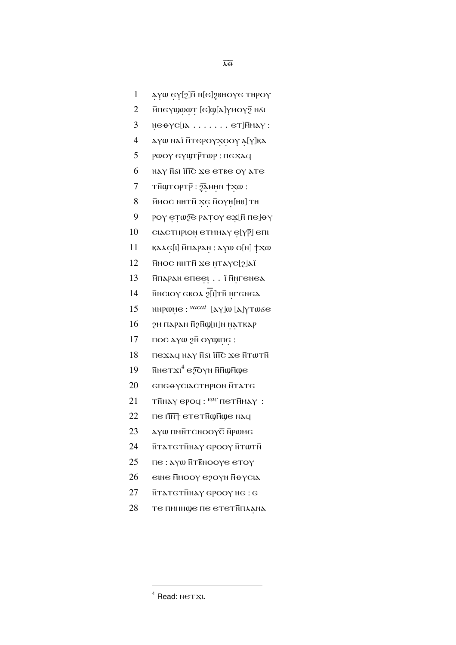- $\mathbf{1}$ *λγω* εγ[2]Ν N[e]2ΒΗΟΥ ΕΤΗΡΟΥ
- $\overline{2}$ **ΝΠΕΥΦΦΦΤ** [e]Φ[a]ΥΜΟΥ? ΝδΙ
- $\overline{3}$  $NCFQ[C|X \ldots \ldots \cdot ET]$ MAY:
- $\overline{4}$ αγω η λί Πτερογχοογ α[γ]κα
- $5\overline{)}$ ρωογ εγωτρτωρ: πεχλα
- 6 нау ны їнс хе етве оу ате
- $\overline{7}$ тидтортр:  $\overline{2}$ дини  $\dagger \times \omega$ :
- 8 **ММОС МНТЙ ХЄ МОУН[НВ] ТН**
- 9 poy ετωδε ρατογεχ[Ν πε] θγ
- 10 сілстнріон єтимау є[үр] єпі
- 11 καλε[ι] Μπαραμ : αγω ο[η] †χω
- 12 ПМОС МНТП ХЄ МТАУС[2]АЇ
- 13 Ипаран епеец . . ї йнгенеа
- Писюу євод 2[1] ті нгенед 14
- **NNPWMe**:  $<sup>vacat</sup>$  [λγ]ω [λ]γτω6ε</sup> 15
- 16 2M ПАРАН П2ПФ[H]Н НАТКАР
- 17 ΠΟΟ λγώ 2Ν Ογώπε:
- 18 ПЕХАД НАУ НА НО ХЕ НТОТН
- $\bar{N}$ Netxi $^4$ e $\bar{2}$ OYN  $\bar{N}$ N $\bar{N}$ W $\bar{N}$ We 19
- 20 епеоусилстирюм йтате
- 21 ТПНАҮ ЄРОЦ: Vac ПЄТПНАҮ:
- 22 ПЕ ПІТ ЄТЄТІФІФО НАЦ
- 23 *ΔΥΦ ΠΜΝΤΟΝΟΟΥΟ ΝΡΟΜΕ*
- 24 ПТАТЄТПНАУ ЄРООУ ПТФТП
- 25 ПЄ: ДҮШ ПТЕНООУЄ ЄТОУ
- 26 єіне ймооу єзоун йоусіх
- 27 ПТАТЄТПНАУ ЄРООУ НЕ: Є
- 28 ТЕ ПИННОЕ ПЕ ЕТЕТЙПААНА

 $4$  Read:  $NETXI$ .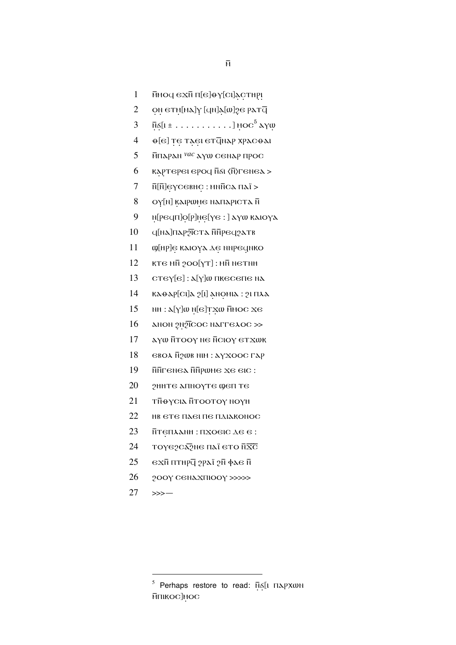| $\mathbf{1}$   | ймоq єхй п[є]⊕ү[сı]ѧстнрі                                                 |
|----------------|---------------------------------------------------------------------------|
| $\overline{2}$ | ON ΕΤΜ[Μλ]Υ [UN]λ[W]2E PATU                                               |
| 3              | $\overline{\mathcal{N}}$ 6[l ± ] MOC <sup>5</sup> $\lambda \gamma \omega$ |
| $\overline{4}$ | ө[е] те таеі ет $\overline{q}$ нар храсөаі                                |
| 5              | Мпаран <sup>vac</sup> аүш сенар прос                                      |
| 6              | картереі ероц Ñбі 〈Ñ〉ГЄНЄа >                                              |
| 7              | Ñ[Ñ]ЄγСЄВНС : МΝÑСλ ПλЇ >                                                 |
| 8              | ОҮ[N] қаіраме напаріста й                                                 |
| 9              | Ν[peqπ]o[p]Ne[γe : ] aγω κaιογa                                           |
| 10             | Ч[НА]ПАР2lСТА ННРЕЧ2АТВ                                                   |
| 11             | Ф[НР]Є КАЮУА ДЄ НІРЕСІНКО                                                 |
| 12             | КТЄ МѾ 200[ҮТ] : МѾ МЄТМН                                                 |
| 13             | СТЄΥ[Є] : λ[Υ]ω ΠΚЄСЄПЄ ΝΑ                                                |
| 14             | κλθλp[ci]λ 2[i] anomia : 2ι πλλ                                           |
| 15             | NH : λ[γ]ω N[€]ΤΧω MMOC ΧΕ                                                |
| 16             | anon quaticoc naiteaoc >>                                                 |
| 17             | λγω ÑΤΟΟΥ NE ÑCIOY ΕΤΧωΚ                                                  |
| 18             | <b>EBOA N2WB NIM : AYXOOC ГАР</b>                                         |
| 19             | NNrenea NNpwhe xe elc :                                                   |
| 20             | 2ННТЄ АПНОУТЄ ФЕП ТЄ                                                      |
| 21             | ТПӨҮСІА ПТООТОҮ НОҮН                                                      |
| 22             | НВ ЄТЄ ПАЄІ ПЕ ПАІАКОНОС                                                  |
| 23             | <u> NTENAANH : ПХОЄІС ДЕ Є :</u>                                          |
| 24             | τογε?ςλνηε πλί ετο ÑΧC                                                    |

- 25  $\exp(\pi \pi)$  πτηρ $\overline{q}$   $\exp(\pi \pi)$  το π
- 26 200Y CENAXΠΙΟΟΥ >>>>>
- 27  $\gg$

<sup>&</sup>lt;sup>5</sup> Perhaps restore to read: Nδ[ι Πλρχωνι ишкос]мос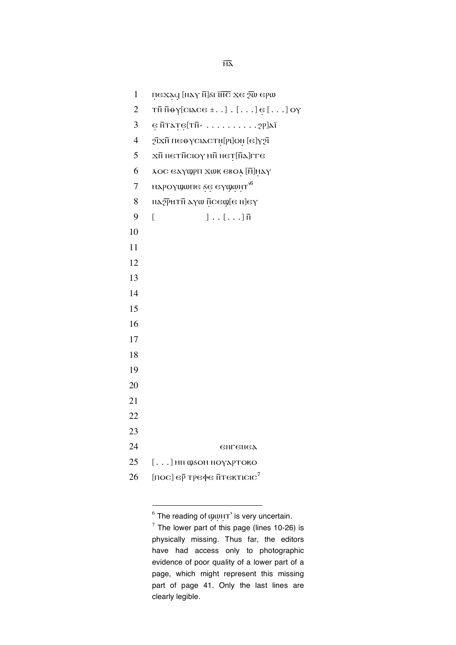| $\mathbf{1}$     | ΠΕΧλΑ [NAY N] SI THE XE 200 EPW                                                                              |  |
|------------------|--------------------------------------------------------------------------------------------------------------|--|
| $\overline{2}$   | <b>ΤΝ</b> ΠΘΥ[CIACE $\pm$ ] . [] e [] oγ                                                                     |  |
| 3                | $\in$ $\bar{\text{NTATE}}$ $[\text{TN}$ $\cdot$ $\ldots$ $\ldots$ $\ldots$ $\ldots$ $\ldots$ $2$ $\text{PN}$ |  |
| $\overline{4}$   | 2โХН ПЕФҮСІАСТН[РІ]ОН [Є]Ү2І                                                                                 |  |
| 5                | хй нетйсюү ий нет[йд]гге                                                                                     |  |
| 6                | λΟΟ ΘΑΥΦΡΠ ΧΦΚ ΘΒΟλ [Ν] ΜΑΥ                                                                                  |  |
| $\boldsymbol{7}$ | мароүшиле бе еүшинт <sup>6</sup>                                                                             |  |
| 8                | на?рнти аүш йсеш[е н]еү                                                                                      |  |
| 9                | $] \ldots [ \ldots ]$ $\bar{\mathfrak{n}}$<br>ſ                                                              |  |
| 10               |                                                                                                              |  |
| 11               |                                                                                                              |  |
| 12               |                                                                                                              |  |
| 13               |                                                                                                              |  |
| 14               |                                                                                                              |  |
| 15               |                                                                                                              |  |
| 16               |                                                                                                              |  |
| 17               |                                                                                                              |  |
| 18               |                                                                                                              |  |
| 19               |                                                                                                              |  |
| 20               |                                                                                                              |  |
| 21               |                                                                                                              |  |
| 22               |                                                                                                              |  |
| 23               |                                                                                                              |  |
| 24               | енгенед                                                                                                      |  |
| 25               | [] МН ФУОМ НОҮАРТОКО                                                                                         |  |
| 26               | [ПОС] Є $\bar{\text{\sf P}}$ ТРЄФЄ $\bar{\text{\sf N}}$ ТЄКТІСІС $^7$                                        |  |

 $6$  The reading of  $\omega$  whith is very uncertain.

 $\frac{1}{7}$  The lower part of this page (lines 10-26) is physically missing. Thus far, the editors have had access only to photographic evidence of poor quality of a lower part of a page, which might represent this missing part of page 41. Only the last lines are clearly legible.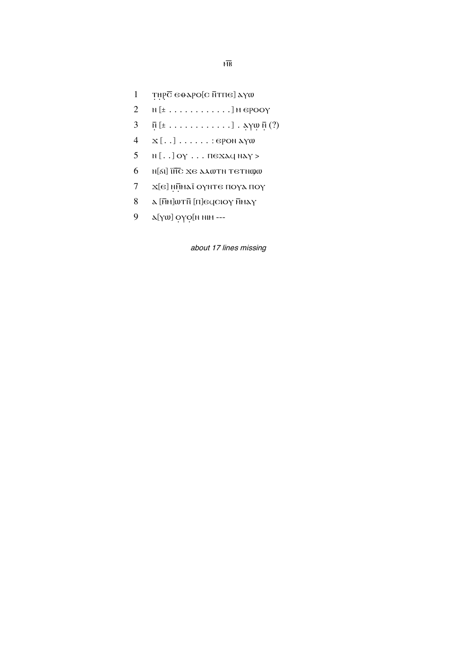ΤΗΡΟ ΕΘΑΡΟ [C NTΠΕ] λΥΦ

 $\mathbf{1}$ 

- $N[t \ldots \ldots \ldots]$ Mepooy  $\overline{2}$
- $\overline{\mathfrak{N}}$  [ $\pm$  ...........] . spo  $\overline{\mathfrak{N}}$  (?)  $\overline{3}$
- $x$ [..]......: εροη λγω  $\overline{4}$
- $N[..]$  OY  $\ldots$  Πεχλες NAY >  $5<sup>5</sup>$
- N[61] IHC XE AAWTN TETNIYW 6
- $\overline{7}$ х[є] мимаї оумтє поуа поу
- λ [M] ΦΤΝ [Π] Θ (CIOY MAY 8
- 9 *λ*[γω] ογο[Ν ΝΙΜ ---

about 17 lines missing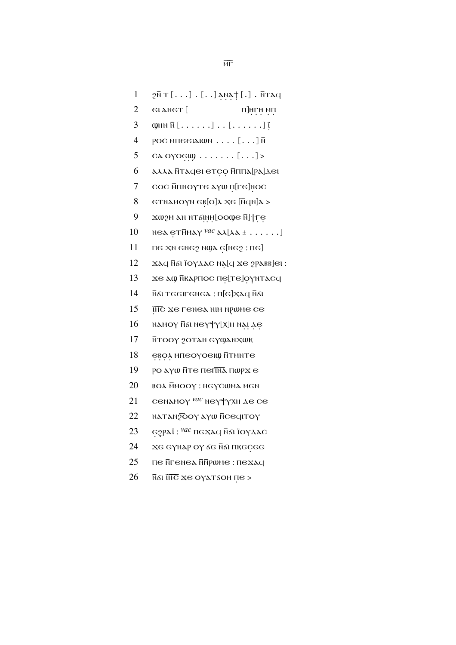| $\mathbf{1}$   | 2NT [] . [] ANA [] . NTAC                                                     |  |
|----------------|-------------------------------------------------------------------------------|--|
| 2              | п]нгн мп<br><b>GI ANGT</b> [                                                  |  |
| 3              | CHN N [ ] [ ] ï                                                               |  |
| $\overline{4}$ | $\overline{\text{poc}}$ Megelaron $\ldots$ [ $\ldots$ ] $\overline{\text{n}}$ |  |
| 5              | $C\lambda$ OYOEIIII $[]$                                                      |  |
| 6              | алла Птацеі Етсо Пппа[ра]деі                                                  |  |
| 7              | СОС МПНОҮТЄ АҮФ П[ГЄ]НОС                                                      |  |
| 8              | ЕТНАМОҮН ЕВ[0]А ХЕ [ÑqN]А >                                                   |  |
| 9              | Χω2Μ AN NT SINM [OOWE N] Tre                                                  |  |
| 10             | nea etñnay <sup>vac</sup> aa[aa ± ]                                           |  |
| 11             | ΠΕ XN ΕΝΕ2 ΝΟΛ Ε[NΕ2: ΠΕ]                                                     |  |
| 12             | хац ñбі їоүдас на[ц хе 2равв]еі :                                             |  |
| 13             | ХЄ АФ ЛКАРПОС ПЄ[ТЄ]ОҮНТАСЦ                                                   |  |
| 14             | ÑδΙ ΤΘΘΙΓΘΝΘΑ : Π[Θ]ΧΑϤ ÑδΙ                                                   |  |
| 15             | THE XE LENEY NIN NAMME CE                                                     |  |
| 16             | намоү ñбі неү†ү[х]н наі де                                                    |  |
| 17             | <b>NTOOY 20TAN ЄYЩАНХФК</b>                                                   |  |
| 18             | ЕВОА МПЕОУОЕЩ ПТИНТЕ                                                          |  |
| 19             | $\overline{p}$ Ο λγω ÑΤϾ ΠϾΙΠλλ Πω $\overline{p}$ Χ Ͼ                         |  |
| 20             | вод ймооү : неүсшма мен                                                       |  |
| 21             | семамоү <sup>vac</sup> меүтүхн де се                                          |  |
| 22             | ΝΑΤΑΝΣΟΟΥ ΑΥΦ ΝΕΘΕΙΤΟΥ                                                        |  |
| 23             | Є2РАЇ: <sup>УАС</sup> ПЄХАС ПА ЇОУДАС                                         |  |
| 24             | ХЄ ЄҮНАР ОҮ 6Є Ñ61 ПКЄСЄЄ                                                     |  |
| 25             | ПЄ ЇГЄНЄА ЇЙРФИЄ : ПЄХАС                                                      |  |
| 26             | Ñ61 ÏHC XE ОҮАТ6ОМ ПЕ >                                                       |  |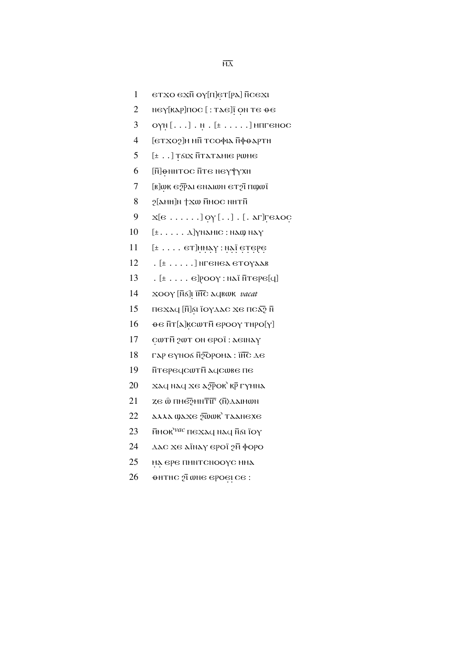- $\mathbf{1}$ **ετχο εχ<br/> ΟΥ [Π] ετ[px] Νεεχι**
- $\overline{2}$ неу[кар]пос [: тае]ї он те ее
- $\overline{3}$  $OYN$ [...]  $N$ . [ $\pm$  .....] MTITENOC
- $\overline{4}$ [ЄТХО2] М М ТСОФІ А ПФОАРТН
- 5  $[\pm]$ .] TốIX NTATAMIE PWME
- 6 П] ОНИТОС ПТЕ НЕҮТҮХН
- $\overline{7}$ [B] ωΚ Θ ΣΡ λι ΘΝ λιωΝ ΘΤ 2Ι Πωωϊ
- 8 2[AMH]N TXW MMOC NHTN
- 9  $X[6 \ldots]$  oy [...] . [.  $X[FeAOC]$
- 10  $[\pm \ldots \ldots \lambda]$ YNAMIC: NACJ NAY
- 11  $[$ ± ....  $\epsilon$ T]MMAY: NAÏ ETEPE
- 12  $.$  [ $\pm$  .....] NEGNEA ETOYAAR
- 13  $.[\pm$ .... $\epsilon$ ] $po$ ΟΥ: ΝλΪ ΝΤ $\epsilon$ ρ $\epsilon$ [ $q$ ]
- 14 **ΧΟΟΥ** [No]ι *iHC* λΟΒωΚ vacat
- 15 ΠΕΧΑ (Π) δι ΪΟΥΛΑΣ ΧΕ ΠΟΑ Π
- 16 θε ΝΤ[λ]ΚΟΦΤΝ ΕΡΟΟΥ ΤΗΡΟ[Υ]
- 17 **CWTH 2WT ON GPOI: ΔΕΙΝΑΥ**
- 18 гар еүнөб на орона: інс де
- 19 ПТЕРЕЧСФТИ АЧСФВЕ ПЕ
- 20 хад над хе азрок' кр гүнна
- 21 ΖΘ Φ ΠΜΘ ΜΝΤΙΓ (Ν) ΔΑΙΜΦΝ
- 22 **AAAA** ΦΑΧΕ ΣΦΦΚ' ΤΑΑΝΕΧΕ
- 23 ΜΜΟΚ<sup>νας</sup> ΠΕΧΑΟ ΝΑΟ ΝΩΙ ΪΟΥ
- 24 дас хе аїнау єрої 2й форо
- 25 на ере пинтснооус ина
- 26 *eHTHC*  $\overline{2}$ <sup>I</sup> ωNE EPOEI CE :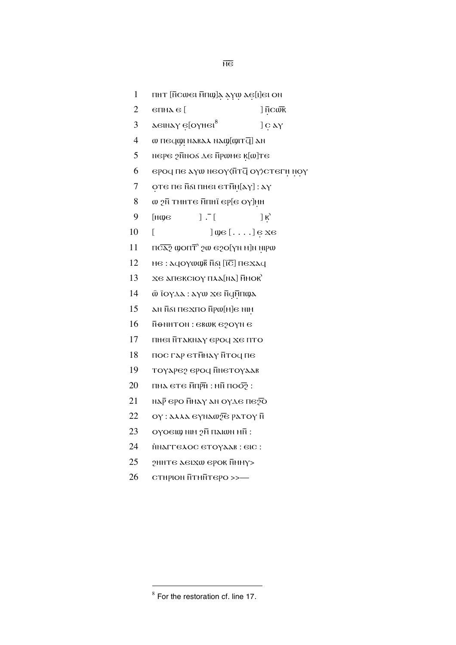| 1              | пнт [Newel Nnw]న хүш хе[l]еі он                                                                       |                           |
|----------------|-------------------------------------------------------------------------------------------------------|---------------------------|
| $\overline{2}$ | епма е [                                                                                              | ] ÑCWK                    |
| 3              | аєінау є[оунеі <sup>8</sup>                                                                           | $\int$ C $\lambda$ Y      |
| $\overline{4}$ | ω πες φι naraa naφ[φιτς] an                                                                           |                           |
| 5              | нере эйнок де йраие к[а]те                                                                            |                           |
| 6              | ερος πε λγω Νεογ<ιλτά ογ> στειτη Νογ                                                                  |                           |
| 7              | ОТЄ ПЄ Ї І ПНЄІ ЄТЇМ[ДҮ] : АҮ                                                                         |                           |
| 8              | ω 2Ν ТМНТЄ ЙПНЇ ЄР[Є ОΥ]МН                                                                            |                           |
| 9              | $\overline{a}$ . [<br>$[$ H $\omega$ $\epsilon$                                                       | $\exists$ K               |
| 10             | E                                                                                                     | $] \psi \in [] \in x \in$ |
| 11             | Π $\overline{\text{C}\text{A}2}$ θοπ $\overline{\text{T}}$ 2ω $\text{E}2\text{O}[\text{YN M}]$ Ν ΝΙΡω |                           |
| 12             | МЄ : АДОҮФОВ ПА [ЇՇ] ПЄХАД                                                                            |                           |
| 13             | ΧΕ ΑΠΕΚΟΙΟΥ ΠΑΑ[ΝΑ] ΉΜΟΚ'                                                                             |                           |
| 14             | <u> ω</u> ϊογλλ : λγω χε Γιαμπωλ                                                                      |                           |
| 15             | АН Ñ61 ПЕХПО ÑРФ[M]Є NIM                                                                              |                           |
| 16             | NeNHTON: ERWK E2OYN E                                                                                 |                           |
| 17             | пнеі Атакмау ероц хе пто                                                                              |                           |
| 18             | ПОС ГАР ЄТӢМАЎ ӢТОЦ ПЄ                                                                                |                           |
| 19             | ТОҮАРЕ2 ЕРОЧ ПНЕТОҮААВ                                                                                |                           |
| 20             | ПМА ЄТЄ $\overline{M}$ П $\overline{P}$ Н $\colon$ М $\overline{N}$ ПОО $\overline{Q}$ :              |                           |
| 21             | нар еро йнау ан оүде пе?о                                                                             |                           |
| 22             | ОΥ: λλλλ ΕΥΝΑΦΣΕ ΡΑΤΟΥ Ν                                                                              |                           |
| 23             | ОҮОӨШ НІМ 2И ПАШЛЯ НІЇ:                                                                               |                           |
| 24             | NNAFFELOC ETOYAAB : EIC :                                                                             |                           |
| 25             | 2ННТЄ ЛЕІХФ ЄРОК ПИМҮ>                                                                                |                           |
| 26             | СТНРІОН ПТИПТЄРО >>-                                                                                  |                           |

 $8$  For the restoration cf. line 17.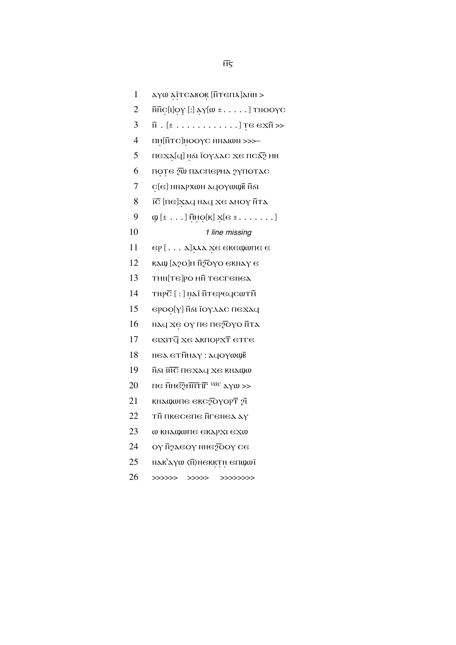| $\mathbf{1}$   | АҮШ АЇТСАВОК [ПТЄПА]АНН >                                      |
|----------------|----------------------------------------------------------------|
| $\overline{2}$ | ÑÑC[I]OY [:] λΥ[ω ± ] ΤΝΟΟΥC                                   |
| 3              | $\overline{N}$ . $[±]$ T $∈$ $ex\overline{N}$ >>               |
| $\overline{4}$ | ПМЕНТС]МООУС ННАКОН >>>                                        |
| 5              | пеха[q] ны їоудас хе пса? нн                                   |
| 6              | поте $\overline{2}$ ω паспериа $2$ үпотас                      |
| 7              | С[Є] ΝΝΑΡΧΦΝ ΑΦΟΥΦΦΕ ΝΔΙ                                       |
| 8              | ї̄С [пе]хаq наq хе аноу ñта                                    |
| 9              | $\omega$ [ $\pm$ ] $\bar{M}$ MO[K] $\chi$ [ $\epsilon$ $\pm$ ] |
| 10             | 1 line missing                                                 |
| 11             | $\epsilon$ P $[ \lambda]$ aa xe ekeumute e                     |
| 12             | каф [а20]м Ñ20Y0 Єкнау Є                                       |
| 13             | тин[тє]ро ий тесгенед                                          |
| 14             | ТНРС [: ] NAI NTEPECICOTN                                      |
| 15             | <b>εροο[γ]</b> Ναι ϊογλλο πεχλα                                |
| 16             | над хе оү пе пе боүо йта                                       |
| 17             | ΕΙΧΙΤΏ ΧΕ ΑΚΠΟΡΧΤ ΕΤΓΕ                                         |
| 18             | <b>NEA ETHMAY : АСОҮФФЕ</b>                                    |
| 19             | Ñ61 Ï <del>HC</del> ПЕХАЧ ХЕ КНАФФ                             |
| 20             | пе ймеринтіг <sup>vac</sup> дүш >>                             |
| 21             | КНАФФПЄ ЄКС 20 ТОРТ 21                                         |
| 22             | ТЙ ПКЕСЕПЕ ЙГЕНЕА АҮ                                           |
| 23             | Φ ΚΝΑΦΟΠΕ ΕΚΑΡΧΙ ΕΧΟ                                           |
| 24             | ΟΥ Π2λΕΟΥ ΝΝΕΣΟΟΥ CE                                           |
| 25             | нак'аүш (п)некктн епшшї                                        |
| 26             | >>>>>><br>>>>>><br>>>>>>>>>>                                   |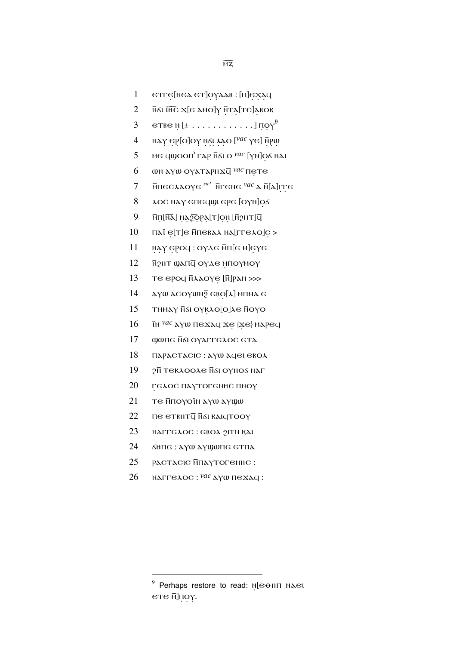| етге[нед ет]оүдав : [п]ехац |  |
|-----------------------------|--|
|                             |  |

- $\overline{2}$ ПА ПО Х Е АМО У ПТА ТС АВОК
- $\overline{3}$ **ETRE N**  $[\pm$  . . . . . . . . . . . . . . ]  $\text{TOY}^9$
- NAY ΕΡ[Ο]ΟΥ ΝΟΙ ΛΑΟ [Vac YE] ΠΡω  $\overline{4}$
- $5\overline{)}$ **ME CHOOOT** FAP NOTO VAC [YN]O6 NAI
- 6 ωΝ λγω ΟγλτλρΗΧ<sup>ζ</sup> <sup>νας</sup> ΠΕΤΕ
- $\overline{\text{M}}$ ΠΘCλλΟΥΘ sic!  $\overline{\text{N}}$ ΓΘΝΘ  $\text{Var}$  λ  $\overline{\text{N}}$ [λ]ΓΓΘ  $\overline{7}$
- 8 λος ηλγεπειμμερε [ογη]ος
- 9  $\overline{N}\Pi[\overline{N}\lambda]$  No  $\overline{Q}$ OP  $\lambda$  [T]ON [N2HT] $\overline{Q}$
- 10 ПАЇ Є[Т]Є ППЄВАЛ НА[ГГЄЛО]С >
- 11 мау вроц: оуде йп[в и]еув
- 12 ΤΟΝΥΟΠΑ ΘΑΥΟ ΠΑΡΙΑΦΙ ΤΗς
- 13 ТЕ ЕРОЧ ПЛАОУЕ [N]РАН >>>
- 14  $\lambda$ γω  $\lambda$  CO γωη $\overline{2}$  GRO  $[\lambda]$  ΜΠΜ $\lambda$  G
- 15 ΤΗΜΑΥ ΝΟΙ ΟΥΚΑΟ[Ο]ΑΘ ΝΟΥΟ
- 16 їн <sup>vac</sup> дүш пехда хе {хе} мареа
- 17 **ФОЛЕ ПО ОТАГГЕЛОС ЕТА**
- 18 ПАРАСТАСІС: АҮФ АЦЕІ ЕВОД
- 19 2Ν ΤΕΚΛΟΟΛΕ ΝΩΙ ΟΥΝΟΔ ΝΑΓ
- 20 гелос паутогеннс пноу
- 21 тє йпоуоїн душ дущи
- 22 ПЕ ЕТВНТА ПО КАКАТООУ
- 23 NAFFEAOC: EROA 2ITN KAI
- 24 δΗΠΕ: λΥΦ λΥΦΦΠΕ ΕΤΠλ
- 25 РАСТАСІС ППАУТОГЕННС:
- 26 NAFFEAOC: Vac AYW ΠΕΧΑ !:

<sup>&</sup>lt;sup>9</sup> Perhaps restore to read: NEOHIT NAGI єтє й]поу.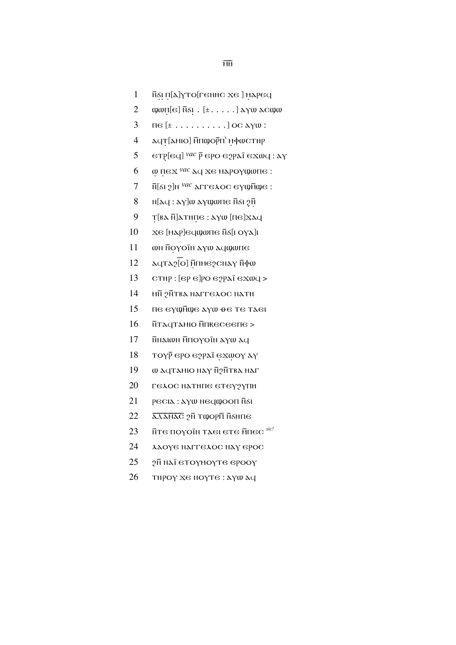- $\mathbf{1}$ на п[а]уто[геннс хе] марец
- $\overline{2}$  $\phi$ ωπ[ $\varepsilon$ ]  $\bar{\eta}$  δι. [ $\pm$ ....] λγω λευφω
- $\overline{3}$  $\Pi$  =  $[±$  ..........] OC λγω:
- $\overline{4}$ **Δ***QT*[*ΔMIO*]  $\overline{M}$ ΠΦΟΡΠ<sup>'</sup> ΜΦΦΟΤΗΡ
- $5\overline{)}$  $E[\text{Eq}]$ <sup>vac</sup>  $\bar{p}$   $E[\text{Eq}]$   $\bar{p}$   $E[\text{Eq}]$   $E[\text{Eq}]$   $\bar{p}$   $\bar{p}$
- 6 ω Πεχ <sup>νας</sup> λει χε Μαρογωωπε:
- $\overline{7}$  $\overline{\mathfrak{N}}$ [61 2]N  $^{vac}$  AFFEAOC EY $\mathfrak{y}$ M $\mathfrak{y}$ B $\mathfrak{y}$ :
- 8  $N[\lambda q : \lambda \gamma]$ ω λγωωπε πει 2π
- 9 Τ[Βλ Ν]λΤΗΠΘ: ΑΥΦ [ΠΘ]ΧΑΟ
- 10 χε [μερ] ειμωπε πδ[ι ογε]ι
- 11 ωΝ ΠΟΥΟΪΝ ΑΥΦ ΑΠΦΟΠΕ
- *<u>Δ</u>QTλ<sub>2</sub><sup>[</sup>O] <del>MΠΜΘ</del>2CNλγ N<sup><i>A*</sup>*W* 12
- 13 СТНР: [ЄР Є]РО Є2РАЇ ЄХФСІ >
- 14 ИЙ 2ПТВА НАГГЕЛОС НАТН
- 15 ΠΕ ΕΥΦΙΜΦΕ ΑΥΦ ΘΕ ΤΕ ΤΑΕΙ
- 16 **ПТАСТАМЮ ППКЕСЕЕПЕ >**
- 17 Νηλίων Μπογοΐη λγώ λα
- 18 ΤΟΥΡ ΕΡΟ Ε2ΡΑΪ ΕΧΦΟΥ ΑΥ
- 19 Φ ΑΠΤΑΜΙΟ ΝΑΥ ΠΟΝΤΒΑ ΝΑΓ
- 20 ГЕЛОС НАТНПЕ ЕТЕҮ? ҮПН
- 21 ΡΕΣΙΑ: λΥΨ ΝΕΣΗΦΟΟΠ ΝΑΙ
- 22 **АДАМАС 2N ТФОРП ЛОНПЕ**
- 23 **ПТЕ ПОҮОЇН ТАЄНЕТЕ ППЕС** sic!
- 24 λλογε ΝΑΓΓΕλος ΝΑΥ ΕΡΟΣ
- 25 2N NAI СТОҮНОҮТЕ ЕРООҮ
- 26 τηρογ χε Νογτε: λγω λα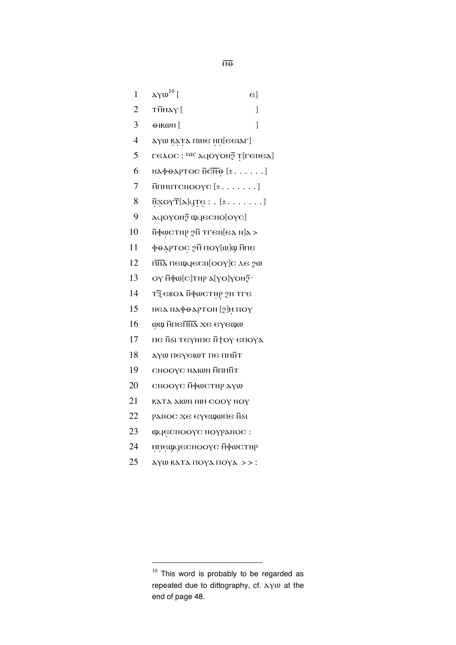$\overline{\mathsf{M}\Theta}$ 

| $\mathbf{1}$   | $\lambda \gamma \omega^{10}$ [<br>$\epsilon]$                                                                                                                                                                                                                                                                           |  |
|----------------|-------------------------------------------------------------------------------------------------------------------------------------------------------------------------------------------------------------------------------------------------------------------------------------------------------------------------|--|
| $\overline{2}$ | 1<br><b>ТЙМАҮ</b> Г                                                                                                                                                                                                                                                                                                     |  |
| 3              | Ī<br><b><i>GIKWN</i></b>                                                                                                                                                                                                                                                                                                |  |
| $\overline{4}$ | аүш ката піне нп[ееіаг]                                                                                                                                                                                                                                                                                                 |  |
| 5              | ΓΕλΟC : <sup>νας</sup> λΟΟΥΟΝΣ Τ[ΓΕΝΕλ]                                                                                                                                                                                                                                                                                 |  |
| 6              | наф <del>о</del> артос ñc̄но [± ]                                                                                                                                                                                                                                                                                       |  |
| 7              | $\overline{\text{M}}$ $\text{M}$ $\text{M}$ $\text{M}$ $\text{M}$ $\text{M}$ $\text{M}$ $\text{M}$ $\text{M}$ $\text{M}$ $\text{M}$ $\text{M}$ $\text{M}$ $\text{M}$ $\text{M}$ $\text{M}$ $\text{M}$ $\text{M}$ $\text{M}$ $\text{M}$ $\text{M}$ $\text{M}$ $\text{M}$ $\text{M}$ $\text{M}$ $\text{M}$ $\text{M}$ $\$ |  |
| 8              | <b>Ñ়¤OYT[a]qTE : . [± ]</b>                                                                                                                                                                                                                                                                                            |  |
| 9              | <b>λ</b> (ΟΥΟΝΣ ΦΟΙΘΟΝΟΙΟΥΣ)                                                                                                                                                                                                                                                                                            |  |
| 10             | Nф@CTHP 2N TLEN[EA N]A >                                                                                                                                                                                                                                                                                                |  |
| 11             | ՓѲ҄ѧҎТОС 2Ӣ ПОҮ[Ѡ]Ѡ ӢПЄ                                                                                                                                                                                                                                                                                                 |  |
| 12             | ΠΝΆ ΠΕΦΟΡΟΝ [ΟΟΥ] C ΔΕ 200                                                                                                                                                                                                                                                                                              |  |
| 13             | ΟΥ Πφω[C]ΤΗΡ λ[YO]YON2·                                                                                                                                                                                                                                                                                                 |  |
| 14             | <b>T</b> ξ ΘΒΟλ ΠφωCTHP 2N TΓE                                                                                                                                                                                                                                                                                          |  |
| 15             | неа нафөартон [2]и поү                                                                                                                                                                                                                                                                                                  |  |
| 16             | ωω hπεπηλ χε εγεωω                                                                                                                                                                                                                                                                                                      |  |
| 17             | πε Ñδι τεγμπε цογ επογλ                                                                                                                                                                                                                                                                                                 |  |
| 18             | λγω πεγειωτ πε πηλτ                                                                                                                                                                                                                                                                                                     |  |
| 19             | СНООУС НАКОН НЕПИНТ                                                                                                                                                                                                                                                                                                     |  |
| 20             | СΝΟΟΥС ΜΦωСТΗΡ λΥω                                                                                                                                                                                                                                                                                                      |  |
| 21             | KATA AIWN NIM COOY NOY                                                                                                                                                                                                                                                                                                  |  |
| 22             | PANOC XE EYEQWΠE ÑδL                                                                                                                                                                                                                                                                                                    |  |
| 23             | ФДЕСНООУС НОУРАНОС:                                                                                                                                                                                                                                                                                                     |  |
| 24             | мпефдесмооүс йффстнр                                                                                                                                                                                                                                                                                                    |  |
| 25             | аүш ката поүа поүа >>:                                                                                                                                                                                                                                                                                                  |  |

 $10$  This word is probably to be regarded as repeated due to dittography, cf.  $\lambda \gamma \omega$  at the end of page 48.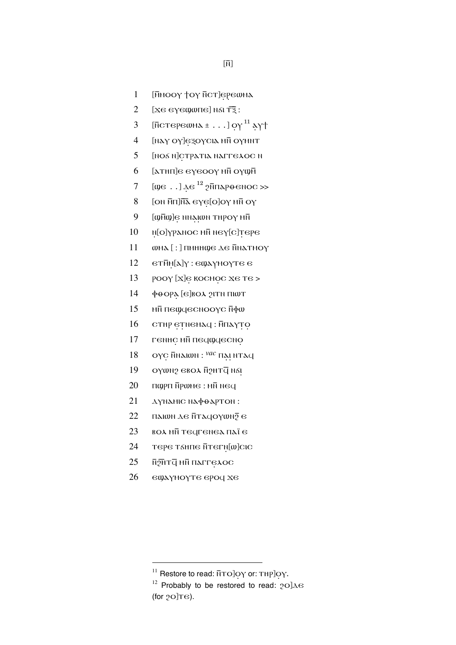- $\mathbf{1}$ [ММООУ ТОУ ПСТ] ЕРЕФИА
- $\overline{2}$  $[xe$   $e$  $y$  $e$  $y$  $w$  $n$  $e$  $]$  $N$  $N$  $T\overline{z}$ :
- [N C T E P E W N  $\pm$  . . . ] o γ<sup>11</sup>  $\lambda$  γ  $\uparrow$  $\overline{3}$
- $\overline{4}$ [ΝΑΥ ΟΥ] ΕξΟΥ ΟΙ Α ΜΠ ΟΥΜΝΤ
- $5\overline{)}$ [НОБ Н]СТРАТІА НАГГЕЛОС Н
- 6 [АТНП]Є Є УЄОО Ү И ПО Ү Ф П
- [ $\psi$ е..] де<sup>12</sup> 2NП арфенос>  $\overline{7}$
- 8 [ΟΝ ΗΠ] Ν εγείο ΟΥ ΜΝ ΟΥ
- 9 [ФИФ] МАК ТНРОТ МИ
- 10 м[о]урамос ий меу[с]тере
- 11 ФИА [: ] ПИННФЕ ДЕ ПЛАТИОТ
- ετιμ[λ]γ: εψλγμογτε ε 12
- рооү [х]е космос хе те > 13
- 14 φθΟΡΑ [Ε] ΒΟΛ 2ΙΤΝ ΠΙΦΤ
- 15 мм пеффесмоотс мфф
- 16 СТНР ЄТНЕМАСІ: ППАУТО
- 17 гемно ми педфаесио
- 18 ΟΥΟ ΠΝΑΙΦΝ: <sup>vac</sup> ΠΑΙ ΝΤΑΟ
- 19 ОҮФН2 ЄВОА П2НТ ЧА
- 20 пфрп нроме: мн мед
- 21 дүнаміс нафоартон:
- 22 ΠλίωΝ ΔΕ ΝΤΑΦΟΥΦΝΣ Ε
- 23 ВОЛ НА ТЕСТЕНЕЛ ПАЇ Є
- 24 тере тънпе итеги[ω]сьс
- 25 ПОНТА МА ПАГГЕДОС
- 26 εψλγμογτε ερος χε

<sup>&</sup>lt;sup>11</sup> Restore to read:  $\overline{N}TOJOY$  or: THP $JOY$ .

<sup>&</sup>lt;sup>12</sup> Probably to be restored to read:  $2O$ ] $\triangle$ e

 $(for 2O]TE$ ).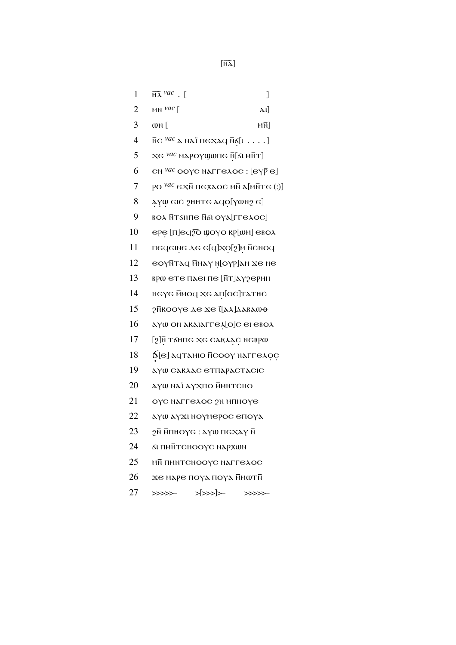$[\overline{\mathtt{NA}}]$ 

| $\mathbf{1}$   | $\overline{H\lambda}$ vac . [               | 1   |
|----------------|---------------------------------------------|-----|
| $\overline{2}$ | MN <sup>vac</sup> [                         | λIJ |
| 3              | ωn [                                        | мÑ1 |
| $\overline{4}$ | ñc <sup>vac</sup> а наї пехаq ñб[і ]        |     |
| 5              | хє <sup>vac</sup> нароүшипе пі[бі нпт]      |     |
| 6              | сн <sup>vac</sup> ооүс наггедос : [еүp̄ е]  |     |
| $\tau$         | ро <sup>vac</sup> ЄХН пехаос иН а[иНте (:)] |     |
| 8              | λγώ eic 2hhte λαο[γωn2 e]                   |     |
| 9              | ВОХ ЛТВИПЕ ЛВІ ОУД[ГГЕЛОС]                  |     |
| 10             | ϾϷϾ [Π]ϾϤϨϘͺϢΟϒΟ ΚΡ[ϢϺ] ϾΒΟ <del>Λ</del>    |     |
| 11             | ⊔ederie γe e[d]xo[δ]ѝ <u>и</u> crod         |     |
| 12             | еоүñтаq ймау м[оүр]ан хе не                 |     |
| 13             | врω єтє паєі пє [ñт]аү2єрмн                 |     |
| 14             | неүе ймоq хе ап[ос]татнс                    |     |
| 15             | 2ÑКООҮЄ ДЄ ХЄ Ї[дД]ДАВАѠ <del>О</del>       |     |
| 16             | аүш он акаіаггед[о]с еі евод                |     |
| 17             | [2]N T6HNE XE CAKAAC NEBPW                  |     |
| 18             | 6[e] аqтамю Ñсооү nаггелос                  |     |
| 19             | аүш сақлас етпарастасіс                     |     |
| 20             | аүш наї аүхпо йинтсно                       |     |
| 21             | оүс наггедос эн ипноүе                      |     |
| 22             | λγω λγχι noγmepoc <del>c</del> πογλ         |     |
| 23             | 2Ñ ЙПНОҮЄ : АҮѠ ПЄХАҮ Ñ                     |     |
| 24             | 61 ПИЙТСНОО <del>Y</del> C НАРХФН           |     |
| 25             | ий пинтснооус наггедос                      |     |
| 26             | хє нарє поуа поуа йнотй                     |     |

 $27$  >>>>> > > > > >>>>> > >>>>>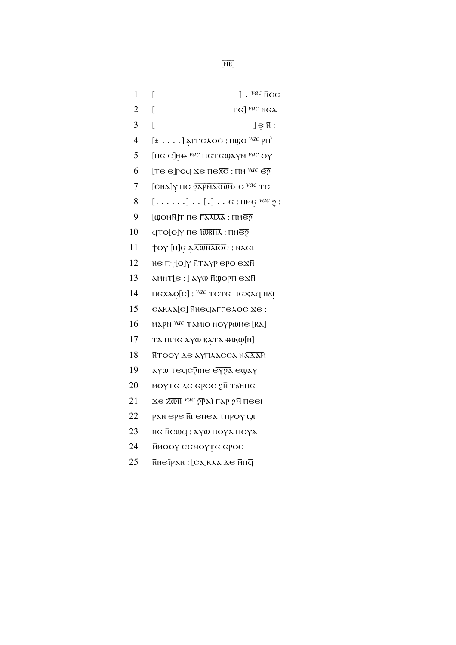$[\overline{\text{NB}}]$ 

| $\mathbf{1}$   | ſ<br>]. $\sqrt{vac}$ $\overline{\text{N}}$ C $\in$                              |
|----------------|---------------------------------------------------------------------------------|
| $\overline{2}$ | ſ<br>г $\in$ ] <sup>vac</sup> nea                                               |
| 3              | ſ<br>]ęñ:                                                                       |
| $\overline{4}$ | [± ] ኢΓΓϾλΟC : ΠϢΟ <sup>νας</sup> ΡΠ <sup>`</sup>                               |
| 5              | [ΠЄ C]Η <del>θ</del> <sup>νας</sup> ΠΕΤΕΨΑΥΝ <sup>νας</sup> ΟΥ                  |
| 6              | [ТЄ Є]РОЧ ХЄ ПЄ $\overline{\text{xc}}$ : ПМ $^{vac}$ Є $\overline{\text{2}}$    |
| $\tau$         | [сна]ү пе <del>зариаото</del> е <sup>vac</sup> те                               |
| 8              | $[\ldots \ldots] \ldots [\ldots] \ldots \in \mathbb{C}$ . The <sup>vac</sup> 2: |
| 9              | [WOMN]T ПЕ ГАЛЛА: ПМЕ?                                                          |
| 10             | <b>QTOOY ПЄ ЇШЕНА: ПМЕ?</b>                                                     |
| 11             | †ογ [п]е адинаюс : наеі                                                         |
| 12             | не п†[о]ү ӣтаүр еро ехñ                                                         |
| 13             | амнт[є : ] аүш ñшорп єхñ                                                        |
| 14             | пехао[с] : <sup>vac</sup> тоте пехаq нај                                        |
| 15             | САКЛА[С] ППЕЦАГГЕЛОС ХЕ :                                                       |
| 16             | нарн <sup>vac</sup> таніо ноурфне [ка]                                          |
| 17             | ΤΑ ΠΙΝΕ ΑΥΦ ΚΑΤΑ ΘΙΚΦ[Ν]                                                        |
| 18             | йтооү де аүпласса на <del>ла</del> й                                            |
| 19             | аүш тецс $\bar{z}$ іме е $\overline{\gamma}$ 20 ешаү                            |
| 20             | МОҮТЄ ДЄ ЄРОС 2Ӣ ТЬ́НПЄ                                                         |
| 21             | ХЄ <del>ZWH</del> <sup>vac</sup> QPaï Гар 2H ПЄЄІ                               |
| 22             | ран ере Пгенеа тнроу ші                                                         |
| 23             | не ñсwq : аүw поүа поүа                                                         |
| 24             | ймооү семоүте ерос                                                              |
| 25             | Ñнеїран : [Са]каа де йп∂                                                        |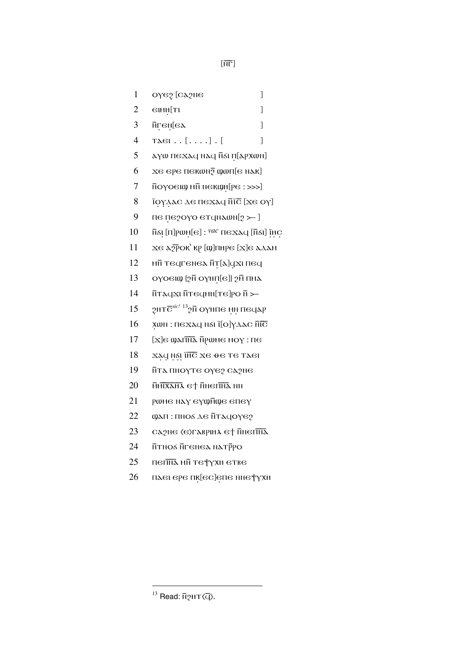$[\overline{\text{N}\Gamma}]$ 

| $\mathbf{1}$   | 1<br>ογες [ca2ne                                |
|----------------|-------------------------------------------------|
| $\overline{2}$ | 1<br>еімн[ті                                    |
| 3              | 1<br>йген[ед                                    |
| $\overline{4}$ | $T\lambda \in I \ldots []$ . [<br>l             |
| 5              | λγω πεχλς nag ñδι π[apxωn]                      |
| 6              | XE EPE ΠΕΚωΝΣ ΦωΠ[Ε ΝΑΚ]                        |
| 7              | ÑОҮОЄIϢ ϺÑ NЄҞϢḤ[PЄ : >>>]                      |
| 8              | ΪΟΥΛΑΣ ΔΕ ΠΕΧΑ ΠΪΙΣ [ΧΕ ΟΥ]                     |
| 9              | ΠΕ ΠΕ2ΟΥΟ ΕΤΟΝΑΦΝ $[2\!\succ ]$                 |
| 10             | ма́ [п]ром[е] : <sup>уас</sup> пехаq [м͡ҕɪ] їнс |
| 11             | хе а?рок' кр [ϣ]пнре [х]е адам                  |
| 12             | ΝΝ ΤΕΟΓΕΝΕλ ΝΤ[λ]ΟΧΙ ΠΕΟ                        |
| 13             | ΟΥΟΘΙΨ {2Ν ΟΥΗΠ[Є]} 2Ν ΠΜΑ                      |
| 14             | йтаqхı йтєqмн[тє]ро й ≻                         |
| 15             | 2ΗΤ $\overline{c}^{sic/13}$ 2Ν ΟΥΗΠΕ ΜΜ ΠΕ:ΑΡ   |
| 16             | χωη : πεχλα n6ι ϊ[o]γλλc ñιc                    |
| 17             | [x]є фаппа промє моу : пє                       |
| 18             | ХАС НАГІНС ХЕ ФЕ ТЕ ТАЕІ                        |
| 19             | ÑΤ <del>λ</del> ΠΝΟΥΤΕ ΟΥΕ2 CA2NE               |
| 20             | йм <del>іханд</del> є† йнегіна нн               |
| 21             | ршме нау еушише епеу                            |
| 22             | QAN : ПНО6 ДЕ ÑТА(QYE2                          |
| 23             | са2не (е)гавріна е† пнеппа                      |
| 24             | <u>ИТНО6 ИГЕНЕА НАТРРО</u>                      |
| 25             | пепна ин те†үхн етве                            |
| 26             | пдегере пк[ес]епе нне†үхн                       |

 $^{13}$  Read:  $\overline{N}$ 2HT $\langle \overline{q} \rangle$ .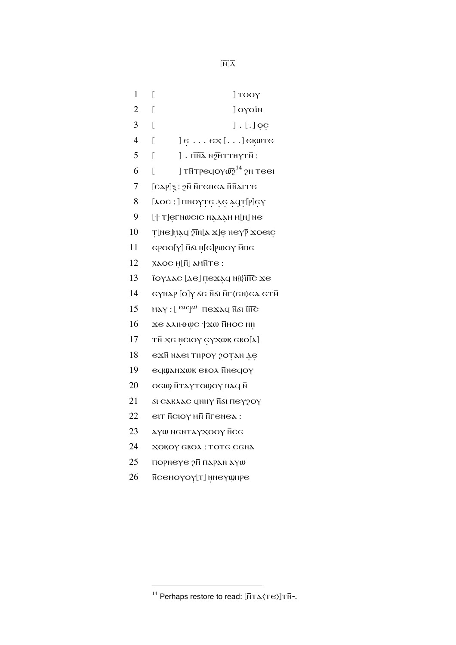$[\overline{\texttt{N}}] \overline{\Delta}$ 

| 1              | ſ<br>] τοογ                                                                    |  |  |
|----------------|--------------------------------------------------------------------------------|--|--|
| 2              | ſ<br>] σγοϊκ                                                                   |  |  |
|                |                                                                                |  |  |
| 3              | ſ<br>$] . [.]$ oc                                                              |  |  |
| $\overline{4}$ | ſ<br>$\mathbf{e} \dots \mathbf{e} \mathbf{x}$ [] $\mathbf{e}$ кωт $\mathbf{e}$ |  |  |
| 5              | ] . ПНА Н2НТТНУТН:<br>ſ                                                        |  |  |
| 6              | ] ΤÑΤΡϾϤΟΥΦ $\overline{\mathfrak{d}}^{14}$ 2N ΤϾϾΙ<br>ſ                        |  |  |
| $\overline{7}$ | $[$ Cap $]$ રૂ : 2N Nenea Nate                                                 |  |  |
| 8              | [λος : ] πηογτε λε γατ[þ]εγ                                                    |  |  |
| 9              | [† т]єгнωсіс надам м[н] не                                                     |  |  |
| 10             | T[NE]MẠC  QĪN[A X]E NEYP XOEIC                                                 |  |  |
| 11             | ͼϼοο[γ] Ñδι N[ͼ]ϼωογ ӢΠͼ                                                       |  |  |
| 12             | ХАОС МІ ДАМПТЄ:                                                                |  |  |
| 13             | їоүдас [де] пехад н{I}їнс хе                                                   |  |  |
| 14             | Єүнар [о]ү бе ñбl ñг⟨ен⟩еа єтñ                                                 |  |  |
| 15             | маү : [ <sup>vac]at</sup> пехаq ñбі ї <del>н</del> с                           |  |  |
| 16             | ХЄ АЛНОФС ТХФ ПИОС НН                                                          |  |  |
| 17             | ΤΝ ΧΕ ΝΟΙΟΥ ΕΥΧΦΚ ΕΒΟ[λ]                                                       |  |  |
| 18             | ехй наеі тнроу 20тан де                                                        |  |  |
| 19             | <b>Ε</b> ( <b>WANXWK EBOA NNEQOY</b>                                           |  |  |
| 20             | ΟΘΙΨ ΠΤΑΥΤΟΨΟΥ ΝΑΟ Π                                                           |  |  |
| 21             | δΙ CARAAC QNHY ÑδΙ ΠΕΥ2ΟΥ                                                      |  |  |
| 22             | еіт ÑСІОҮ МÑ ÑГЄNЄА :                                                          |  |  |
| 23             | аүш нентаүхооү йсе                                                             |  |  |
| 24             | ХОКОҮ ЄВОЛ: ТОТЄ СЄНА                                                          |  |  |
| 25             | порнеуе 2ñ паран ауш                                                           |  |  |
| 26             | <b>ÑC</b> ϾϺΟΥΟΥ[T] NNϾϒϢΗΡϾ                                                   |  |  |
|                |                                                                                |  |  |

<sup>&</sup>lt;sup>14</sup> Perhaps restore to read: [NTλ(TE)]TN-.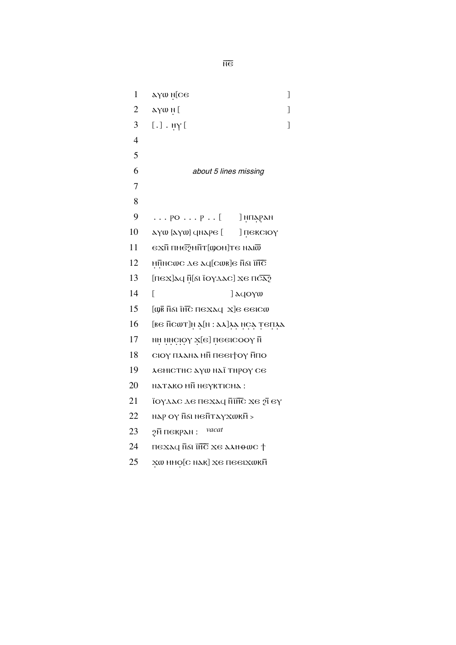$\begin{array}{c} \end{array}$  $\mathbf{1}$ αγω η[ $ce$  $\overline{2}$  $αγω$  ϻ [  $\mathbf{I}$  $\overline{3}$  $\mathbf{I}$  $[.] .  $HY[$$  $\overline{4}$ 5  $\sqrt{6}$ about 5 lines missing  $\overline{7}$ 8 9  $\ldots$  PO  $\ldots$  P  $\ldots$  [ ] NITAPAN 10 **λγω** {**λγω**} qn**λ**pe [ ] πεκαιογ 11 **EXN ΠΜΕ ΜΝΤ ΓΙ ΤΟΜΙΤΟΥ ΠΑΙ ΤΟ** 12 **MNNCWC AG AQ[CWB]G NÃI IHC** 13 [ΠΕΧ]λΟ Ν[δι ΪΟΥΔΑΟ] ΧΕ ΠΟλ? 14  $\mathbf{L}$ ] λισγω 15  $[$   $\overline{w}$   $\overline{w}$   $\overline{w}$   $\overline{w}$   $\overline{w}$   $\overline{w}$   $\overline{w}$   $\overline{w}$   $\overline{w}$   $\overline{w}$   $\overline{w}$   $\overline{w}$   $\overline{w}$   $\overline{w}$   $\overline{w}$   $\overline{w}$   $\overline{w}$   $\overline{w}$   $\overline{w}$   $\overline{w}$   $\overline{w}$   $\overline{w}$   $\overline{w}$   $\overline{w}$  16 [BE NCWT]Ν Δ[N : AA] AA NCA TEΠΑΑ ин инсіол х[є] цеегсоол и 17 18 сю плана ни пестро но 19 ΧΕΜΙΟΤΗΣ ΑΥΦΙΝΑΪ ΤΗΡΟΥ ΟΕ 20 натако ий неуктісна: 21 їоудас де пехац Пінс хе 21 еу 22 **МАР ОҮ ПА МЕПТАҮХФКИ >** 2П ПЕКРАН: vacat 23 24 пехад на не хе алноше + 25 Χω ΜΜΟ [C ΝΑΚ] ΧΕ ΠΕΕΙΧωΚΗ

 $\overline{\text{NE}}$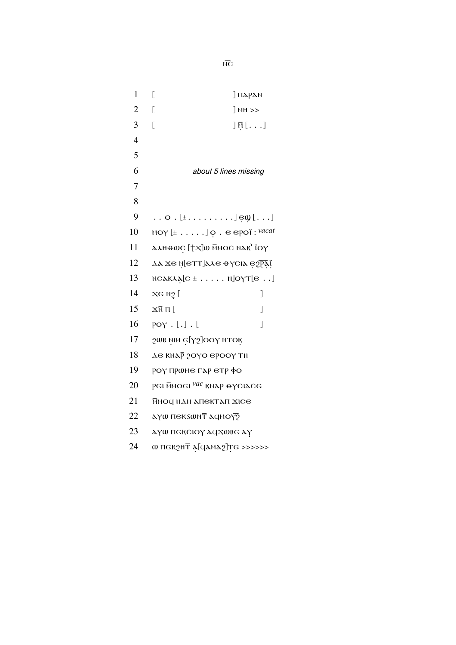| $\mathbf{1}$   | E<br>] паран                                                                   |  |
|----------------|--------------------------------------------------------------------------------|--|
| $\overline{c}$ | Ĺ<br>$]$ MH $>>$                                                               |  |
| 3              | $]\bar{M}[\ldots]$<br>E                                                        |  |
| $\overline{4}$ |                                                                                |  |
| 5              |                                                                                |  |
| 6              | about 5 lines missing                                                          |  |
| $\overline{7}$ |                                                                                |  |
| 8              |                                                                                |  |
| 9              | $\ldots$ O $\,.\,$ [± $\ldots\ldots\ldots$ ] $\in$ (0 [ $\ldots$ ]             |  |
| 10             | MOY [± ] o . ε εροϊ : <sup>vacat</sup>                                         |  |
| 11             | алнөшс [†х]ш ймос нак' їоү                                                     |  |
| 12             | да хе н[етт]але өүсіл езраї                                                    |  |
| 13             | $NCaKa[C \pm \ldots \ldots N]O\gamma T[\epsilon \ldots]$                       |  |
| 14             | 1<br>xe n2 [                                                                   |  |
| 15             | $\overline{\mathbb{Z}}$ N $\overline{\mathbb{N}}$ $\overline{\mathbb{Z}}$<br>1 |  |
| 16             | $poy$ . [.]. [<br>$\overline{1}$                                               |  |
| 17             | <b>2</b> ωв иім e[\S]OO\ иток                                                  |  |
| 18             | де кнар 20ү0 ерооү тн                                                          |  |
| 19             | роү праме гар етр фо                                                           |  |
| 20             | реі ймоєі <sup>vac</sup> кнар <del>о</del> үсіасе                              |  |
| 21             | ЯМОД НАН АПЕКТАП ХІСЕ                                                          |  |
| 22             | <b>λΥ</b> ω ΠΕΚΔ <b>ωΝΤ</b> λΟΜΟΥ?                                             |  |
| 23             | <b>ΑΥ</b> ω ΠΕΚΟΙΟΥ ΑΠΧωΒΕ ΑΥ                                                  |  |
| 24             | W ΠΕΚ2ΗΤ λ[(JAMA2]TE >>>>>>                                                    |  |
|                |                                                                                |  |

 $\overline{\text{NC}}$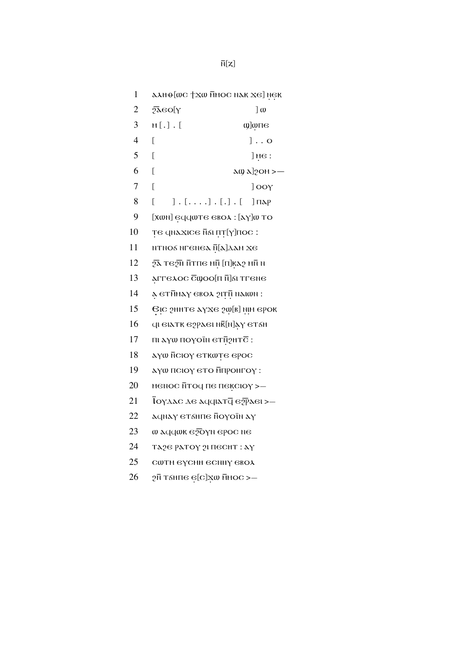| $\mathbf{1}$   | алнө[wc †хω ñмос нак хе] нек                       |  |  |
|----------------|----------------------------------------------------|--|--|
| $\overline{2}$ | 2хео[ү<br>$\frac{1}{2}$                            |  |  |
| 3              | N[.].[<br>ај ди                                    |  |  |
| $\overline{4}$ | ſ<br>] $\ldots$ O                                  |  |  |
| 5              | Ĺ<br>] We :                                        |  |  |
| 6              | ſ<br>$\alpha \psi \alpha$ ]20M >-                  |  |  |
| $\tau$         | Ĺ<br>] οογ                                         |  |  |
| 8              | ] . [ ] . [ . ] . [<br>E<br>$] \Pi \Delta P$       |  |  |
| 9              | [XWN] EQQWTE EROA : [AY]W TO                       |  |  |
| 10             | те амхжсе мантг[ү]пос :                            |  |  |
| 11             | нтно6 нгенеа <u>П[а]</u> даи хе                    |  |  |
| 12             | $\bar{2}$ ā te $\bar{2}$ h ñtπe mñ [п]қа $2$ mñ n  |  |  |
| 13             | <b>ΑΓΓΕΛΟΣ ϾϢΟΟ[Π Ϝ]δΙ ΤΓΕΝΕ</b>                   |  |  |
| 14             | A ETHMAY EBOA 2ITH NAIWN :                         |  |  |
| 15             | ӨІС 2ННТЄ дүхЄ 2Ф[в] NIM ЄРОК                      |  |  |
| 16             | Y GIATK E2PAEI NR[N]AY ET6H                        |  |  |
| 17             | ΠΙ λΥΦ ΠΟΥΟΪΝ ΕΤΠ2ΗΤ $\overline{\text{c}}$ :       |  |  |
| 18             | λγω Νειογ ετκωτε εροε                              |  |  |
| 19             | λγω ποιογ <del>σ</del> το μπρο <del>ι</del> ιτογ : |  |  |
| 20             | мемос ӣтоq пе пексюү >—                            |  |  |
| 21             | Тоүдас де аддыт <del>д</del> өзрает>—              |  |  |
| 22             | ацнау етънпе йоуоїн ау                             |  |  |
| 23             | ω λααωκ εξόγη ερος ne                              |  |  |
| 24             | ТА2Є РАТОУ 21 ПЄСНТ: АУ                            |  |  |
| 25             | СФТИ ЕҮСМН ЕСННҮ ЕВОХ                              |  |  |
| 26             | 2N Т6НПЄ Є[С]ҲѠ ӢМОС >—                            |  |  |